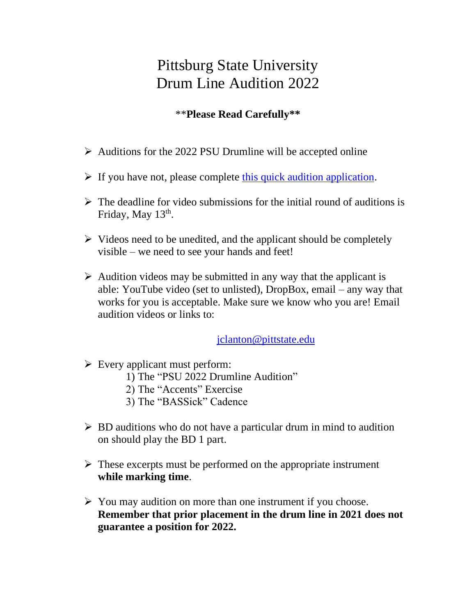## Pittsburg State University Drum Line Audition 2022

## \*\***Please Read Carefully\*\***

- $\triangleright$  Auditions for the 2022 PSU Drumline will be accepted online
- $\triangleright$  If you have not, please complete [this quick audition application.](https://forms.office.com/Pages/ResponsePage.aspx?id=z0mB-rs7dUack2GlTb15itmTl2gu5TRFpDRMdYb0kaJURjQwWkpMNVYwR1lDMDFJR1k3RENQTUM4NS4u)
- $\triangleright$  The deadline for video submissions for the initial round of auditions is Friday, May 13<sup>th</sup>.
- $\triangleright$  Videos need to be unedited, and the applicant should be completely visible – we need to see your hands and feet!
- $\triangleright$  Audition videos may be submitted in any way that the applicant is able: YouTube video (set to unlisted), DropBox, email – any way that works for you is acceptable. Make sure we know who you are! Email audition videos or links to:

## [jclanton@pittstate.edu](mailto:jclanton@pittstate.edu)

- $\triangleright$  Every applicant must perform:
	- 1) The "PSU 2022 Drumline Audition"
	- 2) The "Accents" Exercise
	- 3) The "BASSick" Cadence
- $\triangleright$  BD auditions who do not have a particular drum in mind to audition on should play the BD 1 part.
- ➢ These excerpts must be performed on the appropriate instrument **while marking time**.
- ➢ You may audition on more than one instrument if you choose. **Remember that prior placement in the drum line in 2021 does not guarantee a position for 2022.**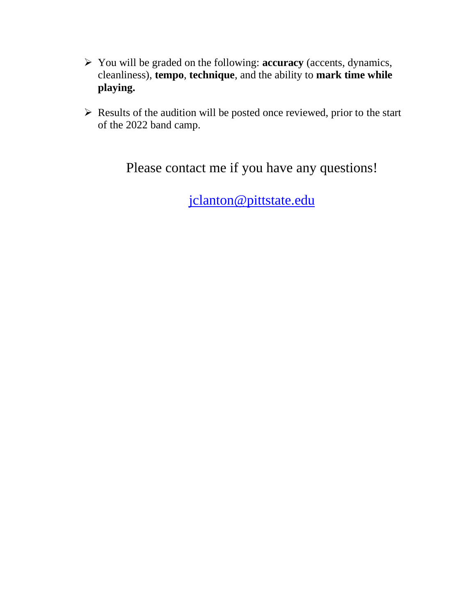- ➢ You will be graded on the following: **accuracy** (accents, dynamics, cleanliness), **tempo**, **technique**, and the ability to **mark time while playing.**
- $\triangleright$  Results of the audition will be posted once reviewed, prior to the start of the 2022 band camp.

Please contact me if you have any questions!

[jclanton@pittstate.edu](mailto:jclanton@pittstate.edu)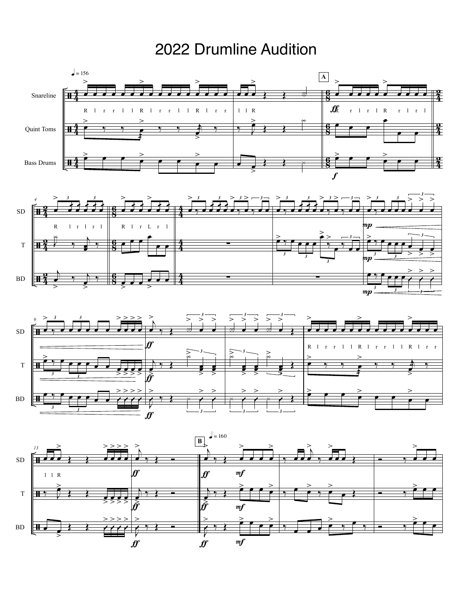## $\overline{ }$ line 2022 Drumline Audition





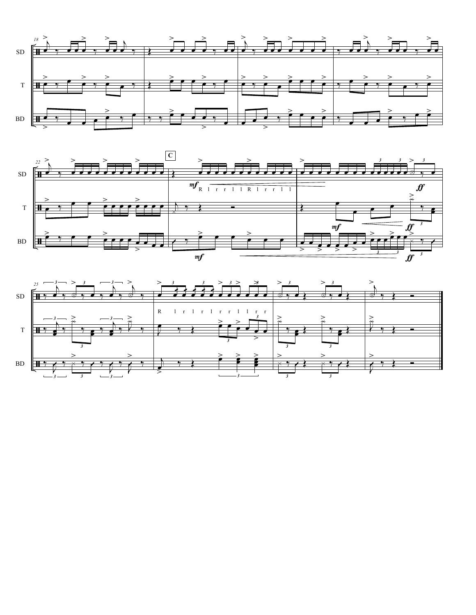



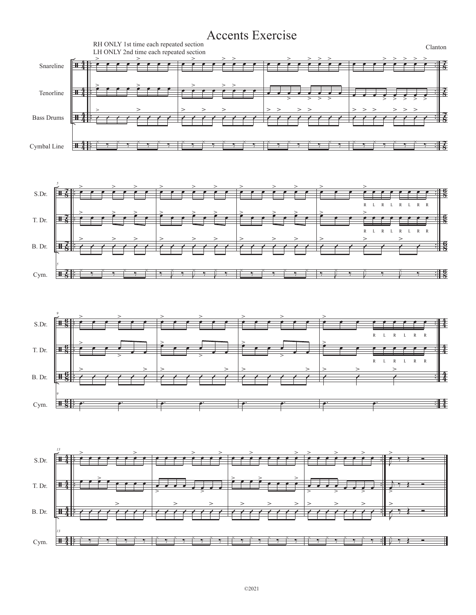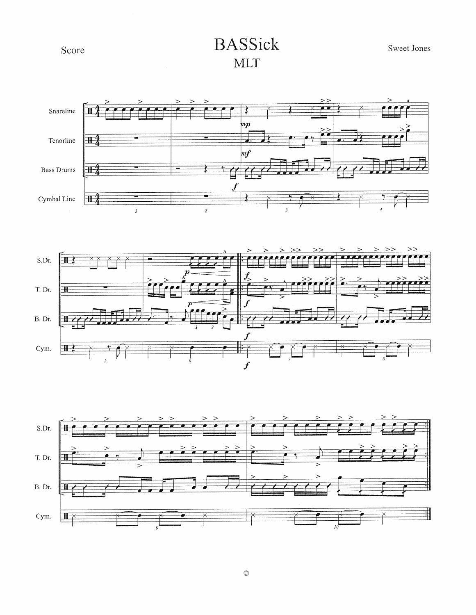